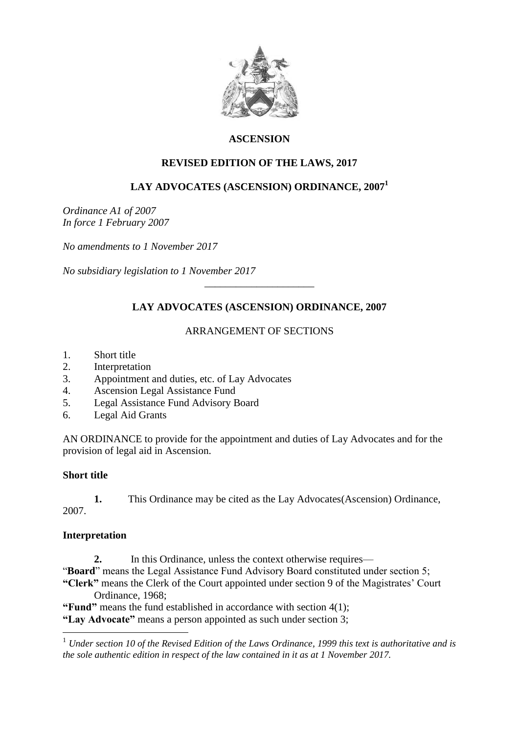

# **ASCENSION**

## **REVISED EDITION OF THE LAWS, 2017**

# **LAY ADVOCATES (ASCENSION) ORDINANCE, 2007<sup>1</sup>**

*Ordinance A1 of 2007 In force 1 February 2007*

*No amendments to 1 November 2017*

*No subsidiary legislation to 1 November 2017*

## **LAY ADVOCATES (ASCENSION) ORDINANCE, 2007**

\_\_\_\_\_\_\_\_\_\_\_\_\_\_\_\_\_\_\_\_\_

### ARRANGEMENT OF SECTIONS

- 1. Short title
- 2. Interpretation
- 3. Appointment and duties, etc. of Lay Advocates
- 4. Ascension Legal Assistance Fund
- 5. Legal Assistance Fund Advisory Board
- 6. Legal Aid Grants

AN ORDINANCE to provide for the appointment and duties of Lay Advocates and for the provision of legal aid in Ascension.

#### **Short title**

**1.** This Ordinance may be cited as the Lay Advocates(Ascension) Ordinance, 2007.

## **Interpretation**

1

**2.** In this Ordinance, unless the context otherwise requires— "**Board**" means the Legal Assistance Fund Advisory Board constituted under section 5; **"Clerk"** means the Clerk of the Court appointed under section 9 of the Magistrates' Court Ordinance, 1968;

**"Fund"** means the fund established in accordance with section 4(1); **"Lay Advocate"** means a person appointed as such under section 3;

<sup>1</sup> *Under section 10 of the Revised Edition of the Laws Ordinance, 1999 this text is authoritative and is the sole authentic edition in respect of the law contained in it as at 1 November 2017.*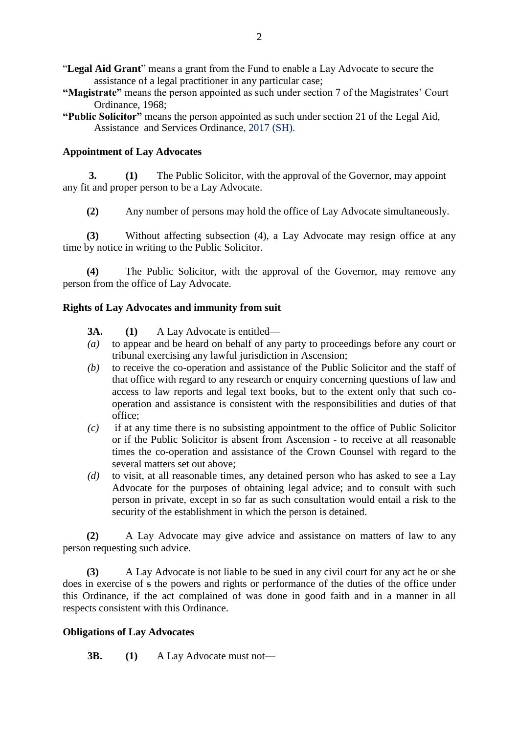- "**Legal Aid Grant**" means a grant from the Fund to enable a Lay Advocate to secure the assistance of a legal practitioner in any particular case;
- **"Magistrate"** means the person appointed as such under section 7 of the Magistrates' Court Ordinance, 1968;
- **"Public Solicitor"** means the person appointed as such under section 21 of the Legal Aid, Assistance and Services Ordinance, 2017 (SH).

#### **Appointment of Lay Advocates**

 **3. (1)** The Public Solicitor, with the approval of the Governor, may appoint any fit and proper person to be a Lay Advocate.

**(2)** Any number of persons may hold the office of Lay Advocate simultaneously.

**(3)** Without affecting subsection (4), a Lay Advocate may resign office at any time by notice in writing to the Public Solicitor.

**(4)** The Public Solicitor, with the approval of the Governor, may remove any person from the office of Lay Advocate.

#### **Rights of Lay Advocates and immunity from suit**

- **3A. (1)** A Lay Advocate is entitled—
- *(a)* to appear and be heard on behalf of any party to proceedings before any court or tribunal exercising any lawful jurisdiction in Ascension;
- *(b)* to receive the co-operation and assistance of the Public Solicitor and the staff of that office with regard to any research or enquiry concerning questions of law and access to law reports and legal text books, but to the extent only that such cooperation and assistance is consistent with the responsibilities and duties of that office;
- *(c)* if at any time there is no subsisting appointment to the office of Public Solicitor or if the Public Solicitor is absent from Ascension - to receive at all reasonable times the co-operation and assistance of the Crown Counsel with regard to the several matters set out above;
- *(d)* to visit, at all reasonable times, any detained person who has asked to see a Lay Advocate for the purposes of obtaining legal advice; and to consult with such person in private, except in so far as such consultation would entail a risk to the security of the establishment in which the person is detained.

**(2)** A Lay Advocate may give advice and assistance on matters of law to any person requesting such advice.

**(3)** A Lay Advocate is not liable to be sued in any civil court for any act he or she does in exercise of s the powers and rights or performance of the duties of the office under this Ordinance, if the act complained of was done in good faith and in a manner in all respects consistent with this Ordinance.

#### **Obligations of Lay Advocates**

**3B. (1)** A Lay Advocate must not—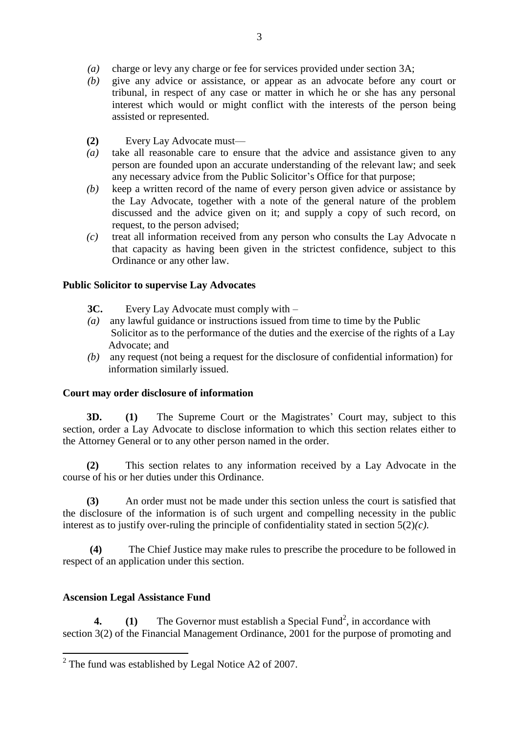- *(a)* charge or levy any charge or fee for services provided under section 3A;
- *(b)* give any advice or assistance, or appear as an advocate before any court or tribunal, in respect of any case or matter in which he or she has any personal interest which would or might conflict with the interests of the person being assisted or represented.
- **(2)** Every Lay Advocate must—
- *(a)* take all reasonable care to ensure that the advice and assistance given to any person are founded upon an accurate understanding of the relevant law; and seek any necessary advice from the Public Solicitor's Office for that purpose;
- *(b)* keep a written record of the name of every person given advice or assistance by the Lay Advocate, together with a note of the general nature of the problem discussed and the advice given on it; and supply a copy of such record, on request, to the person advised;
- *(c)* treat all information received from any person who consults the Lay Advocate n that capacity as having been given in the strictest confidence, subject to this Ordinance or any other law.

## **Public Solicitor to supervise Lay Advocates**

- **3C.** Every Lay Advocate must comply with –
- *(a)* any lawful guidance or instructions issued from time to time by the Public Solicitor as to the performance of the duties and the exercise of the rights of a Lay Advocate; and
- *(b)* any request (not being a request for the disclosure of confidential information) for information similarly issued.

#### **Court may order disclosure of information**

**3D. (1)** The Supreme Court or the Magistrates' Court may, subject to this section, order a Lay Advocate to disclose information to which this section relates either to the Attorney General or to any other person named in the order.

**(2)** This section relates to any information received by a Lay Advocate in the course of his or her duties under this Ordinance.

**(3)** An order must not be made under this section unless the court is satisfied that the disclosure of the information is of such urgent and compelling necessity in the public interest as to justify over-ruling the principle of confidentiality stated in section 5(2)*(c)*.

**(4)** The Chief Justice may make rules to prescribe the procedure to be followed in respect of an application under this section.

## **Ascension Legal Assistance Fund**

1

**4.** (1) The Governor must establish a Special Fund<sup>2</sup>, in accordance with section 3(2) of the Financial Management Ordinance, 2001 for the purpose of promoting and

 $2$  The fund was established by Legal Notice A2 of 2007.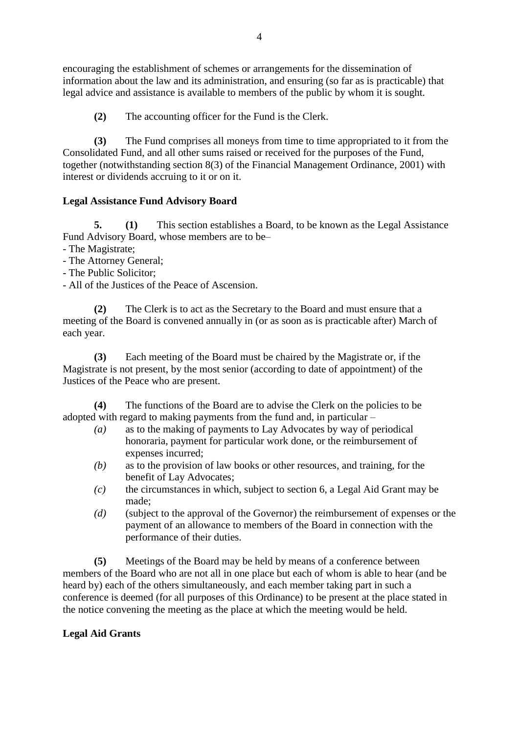encouraging the establishment of schemes or arrangements for the dissemination of information about the law and its administration, and ensuring (so far as is practicable) that legal advice and assistance is available to members of the public by whom it is sought.

**(2)** The accounting officer for the Fund is the Clerk.

**(3)** The Fund comprises all moneys from time to time appropriated to it from the Consolidated Fund, and all other sums raised or received for the purposes of the Fund, together (notwithstanding section 8(3) of the Financial Management Ordinance, 2001) with interest or dividends accruing to it or on it.

## **Legal Assistance Fund Advisory Board**

**5. (1)** This section establishes a Board, to be known as the Legal Assistance Fund Advisory Board, whose members are to be–

- The Magistrate;
- The Attorney General;
- The Public Solicitor;
- All of the Justices of the Peace of Ascension.

The Clerk is to act as the Secretary to the Board and must ensure that a meeting of the Board is convened annually in (or as soon as is practicable after) March of each year.

**(3)** Each meeting of the Board must be chaired by the Magistrate or, if the Magistrate is not present, by the most senior (according to date of appointment) of the Justices of the Peace who are present.

**(4)** The functions of the Board are to advise the Clerk on the policies to be adopted with regard to making payments from the fund and, in particular –

- *(a)* as to the making of payments to Lay Advocates by way of periodical honoraria, payment for particular work done, or the reimbursement of expenses incurred;
- *(b)* as to the provision of law books or other resources, and training, for the benefit of Lay Advocates;
- *(c)* the circumstances in which, subject to section 6, a Legal Aid Grant may be made;
- *(d)* (subject to the approval of the Governor) the reimbursement of expenses or the payment of an allowance to members of the Board in connection with the performance of their duties.

**(5)** Meetings of the Board may be held by means of a conference between members of the Board who are not all in one place but each of whom is able to hear (and be heard by) each of the others simultaneously, and each member taking part in such a conference is deemed (for all purposes of this Ordinance) to be present at the place stated in the notice convening the meeting as the place at which the meeting would be held.

## **Legal Aid Grants**